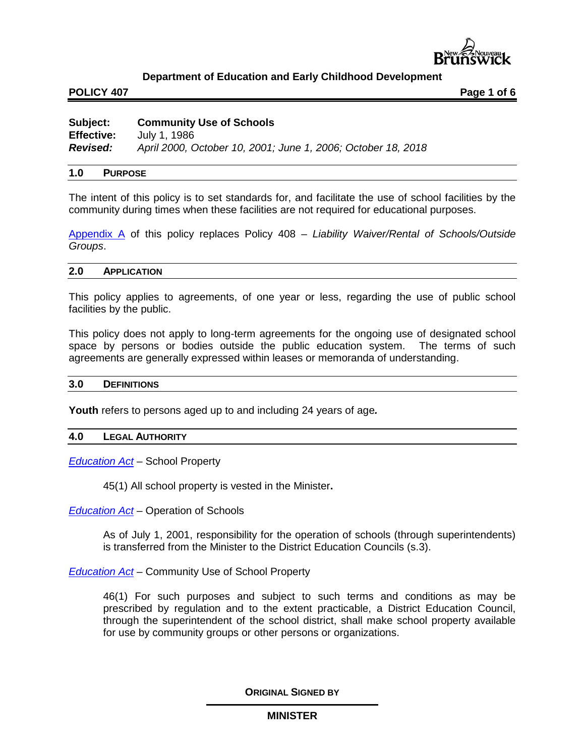

### **POLICY 407 Page 1 of 6**

| Subject:          | <b>Community Use of Schools</b>                              |
|-------------------|--------------------------------------------------------------|
| <b>Effective:</b> | July 1, 1986                                                 |
| <b>Revised:</b>   | April 2000, October 10, 2001; June 1, 2006; October 18, 2018 |

#### **1.0 PURPOSE**

The intent of this policy is to set standards for, and facilitate the use of school facilities by the community during times when these facilities are not required for educational purposes.

[Appendix A](http://www2.gnb.ca/content/dam/gnb/Departments/ed/pdf/K12/policies-politiques/e/407AA.pdf) of this policy replaces Policy 408 – *Liability Waiver/Rental of Schools/Outside Groups*.

#### **2.0 APPLICATION**

This policy applies to agreements, of one year or less, regarding the use of public school facilities by the public.

This policy does not apply to long-term agreements for the ongoing use of designated school space by persons or bodies outside the public education system. The terms of such agreements are generally expressed within leases or memoranda of understanding.

#### **3.0 DEFINITIONS**

**Youth** refers to persons aged up to and including 24 years of age*.*

#### **4.0 LEGAL AUTHORITY**

*[Education Act](http://laws.gnb.ca/en/ShowPdf/cs/E-1.12.pdf)* – School Property

45(1) All school property is vested in the Minister**.**

*[Education Act](http://laws.gnb.ca/en/ShowPdf/cs/E-1.12.pdf)* – Operation of Schools

As of July 1, 2001, responsibility for the operation of schools (through superintendents) is transferred from the Minister to the District Education Councils (s.3).

*[Education Act](http://laws.gnb.ca/en/ShowPdf/cs/E-1.12.pdf)* – Community Use of School Property

46(1) For such purposes and subject to such terms and conditions as may be prescribed by regulation and to the extent practicable, a District Education Council, through the superintendent of the school district, shall make school property available for use by community groups or other persons or organizations.

**ORIGINAL SIGNED BY**

### **MINISTER**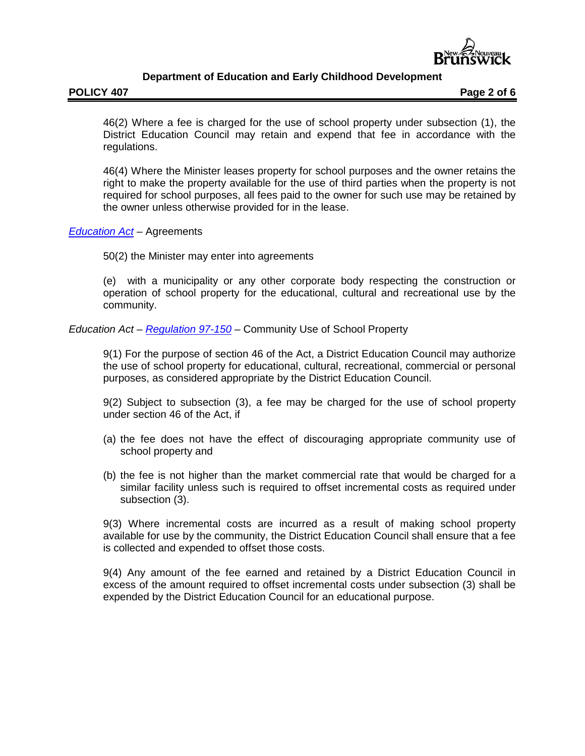

46(2) Where a fee is charged for the use of school property under subsection (1), the District Education Council may retain and expend that fee in accordance with the regulations.

46(4) Where the Minister leases property for school purposes and the owner retains the right to make the property available for the use of third parties when the property is not required for school purposes, all fees paid to the owner for such use may be retained by the owner unless otherwise provided for in the lease.

## *[Education Act](http://laws.gnb.ca/en/ShowPdf/cs/E-1.12.pdf)* – Agreements

50(2) the Minister may enter into agreements

(e) with a municipality or any other corporate body respecting the construction or operation of school property for the educational, cultural and recreational use by the community.

*Education Act* – *[Regulation 97-150](http://laws.gnb.ca/en/ShowPdf/cr/97-150.pdf)* – Community Use of School Property

9(1) For the purpose of section 46 of the Act, a District Education Council may authorize the use of school property for educational, cultural, recreational, commercial or personal purposes, as considered appropriate by the District Education Council.

9(2) Subject to subsection (3), a fee may be charged for the use of school property under section 46 of the Act, if

- (a) the fee does not have the effect of discouraging appropriate community use of school property and
- (b) the fee is not higher than the market commercial rate that would be charged for a similar facility unless such is required to offset incremental costs as required under subsection (3).

9(3) Where incremental costs are incurred as a result of making school property available for use by the community, the District Education Council shall ensure that a fee is collected and expended to offset those costs.

9(4) Any amount of the fee earned and retained by a District Education Council in excess of the amount required to offset incremental costs under subsection (3) shall be expended by the District Education Council for an educational purpose.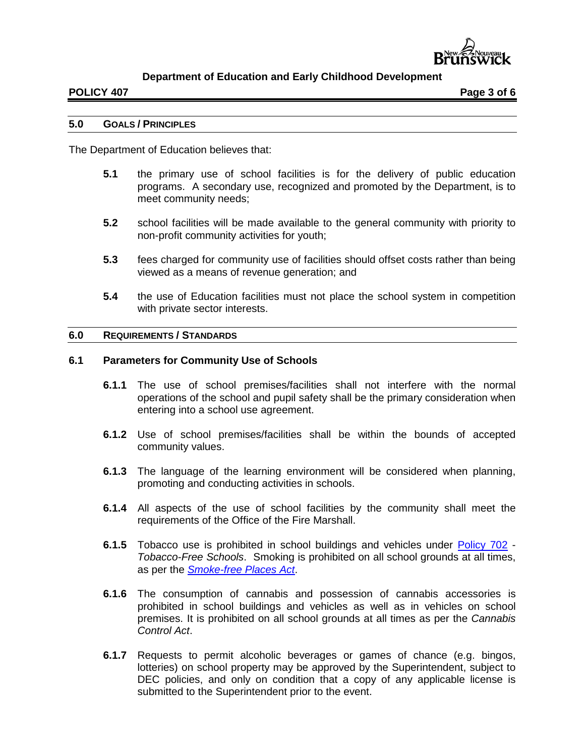

#### **POLICY 407 Page 3 of 6**

### **5.0 GOALS / PRINCIPLES**

The Department of Education believes that:

- **5.1** the primary use of school facilities is for the delivery of public education programs. A secondary use, recognized and promoted by the Department, is to meet community needs;
- **5.2** school facilities will be made available to the general community with priority to non-profit community activities for youth;
- **5.3** fees charged for community use of facilities should offset costs rather than being viewed as a means of revenue generation; and
- **5.4** the use of Education facilities must not place the school system in competition with private sector interests.

### **6.0 REQUIREMENTS / STANDARDS**

#### **6.1 Parameters for Community Use of Schools**

- **6.1.1** The use of school premises/facilities shall not interfere with the normal operations of the school and pupil safety shall be the primary consideration when entering into a school use agreement.
- **6.1.2** Use of school premises/facilities shall be within the bounds of accepted community values.
- **6.1.3** The language of the learning environment will be considered when planning, promoting and conducting activities in schools.
- **6.1.4** All aspects of the use of school facilities by the community shall meet the requirements of the Office of the Fire Marshall.
- **6.1.5** Tobacco use is prohibited in school buildings and vehicles under [Policy 702](http://www2.gnb.ca/content/dam/gnb/Departments/ed/pdf/K12/policies-politiques/e/702A.pdf) *Tobacco-Free Schools*. Smoking is prohibited on all school grounds at all times, as per the *[Smoke-free Places Act](http://laws.gnb.ca/en/ShowPdf/cs/2011-c.222.pdf)*.
- **6.1.6** The consumption of cannabis and possession of cannabis accessories is prohibited in school buildings and vehicles as well as in vehicles on school premises. It is prohibited on all school grounds at all times as per the *Cannabis Control Act*.
- **6.1.7** Requests to permit alcoholic beverages or games of chance (e.g. bingos, lotteries) on school property may be approved by the Superintendent, subject to DEC policies, and only on condition that a copy of any applicable license is submitted to the Superintendent prior to the event.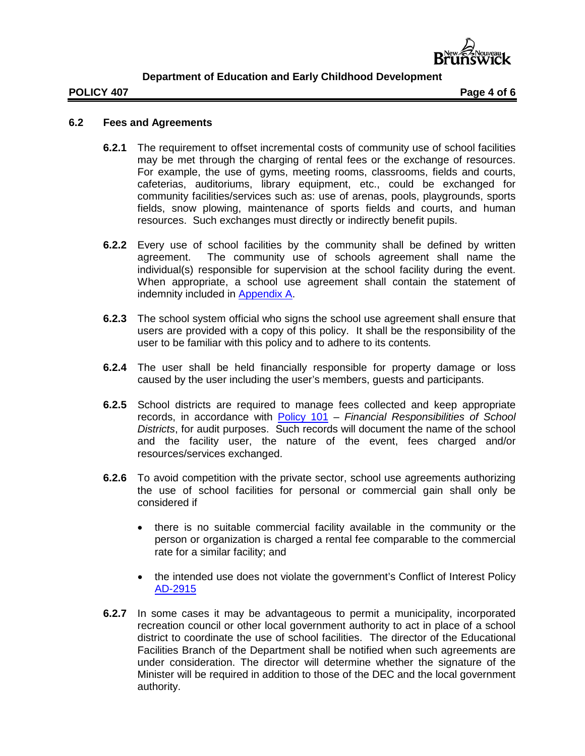

### **POLICY 407 Page 4 of 6**

## **6.2 Fees and Agreements**

- **6.2.1** The requirement to offset incremental costs of community use of school facilities may be met through the charging of rental fees or the exchange of resources. For example, the use of gyms, meeting rooms, classrooms, fields and courts, cafeterias, auditoriums, library equipment, etc., could be exchanged for community facilities/services such as: use of arenas, pools, playgrounds, sports fields, snow plowing, maintenance of sports fields and courts, and human resources. Such exchanges must directly or indirectly benefit pupils.
- **6.2.2** Every use of school facilities by the community shall be defined by written agreement. The community use of schools agreement shall name the individual(s) responsible for supervision at the school facility during the event. When appropriate, a school use agreement shall contain the statement of indemnity included in [Appendix A.](http://www2.gnb.ca/content/dam/gnb/Departments/ed/pdf/K12/policies-politiques/e/407AA.pdf)
- **6.2.3** The school system official who signs the school use agreement shall ensure that users are provided with a copy of this policy. It shall be the responsibility of the user to be familiar with this policy and to adhere to its contents*.*
- **6.2.4** The user shall be held financially responsible for property damage or loss caused by the user including the user's members, guests and participants.
- **6.2.5** School districts are required to manage fees collected and keep appropriate records, in accordance with [Policy 101](http://www2.gnb.ca/content/dam/gnb/Departments/ed/pdf/K12/policies-politiques/e/101A.pdf) – *Financial Responsibilities of School Districts*, for audit purposes. Such records will document the name of the school and the facility user, the nature of the event, fees charged and/or resources/services exchanged.
- **6.2.6** To avoid competition with the private sector, school use agreements authorizing the use of school facilities for personal or commercial gain shall only be considered if
	- there is no suitable commercial facility available in the community or the person or organization is charged a rental fee comparable to the commercial rate for a similar facility; and
	- the intended use does not violate the government's Conflict of Interest Policy [AD-2915](http://intranet.gnb.ca/intellinet/adminman/adminman/2915-e.asp)
- **6.2.7** In some cases it may be advantageous to permit a municipality, incorporated recreation council or other local government authority to act in place of a school district to coordinate the use of school facilities. The director of the Educational Facilities Branch of the Department shall be notified when such agreements are under consideration. The director will determine whether the signature of the Minister will be required in addition to those of the DEC and the local government authority.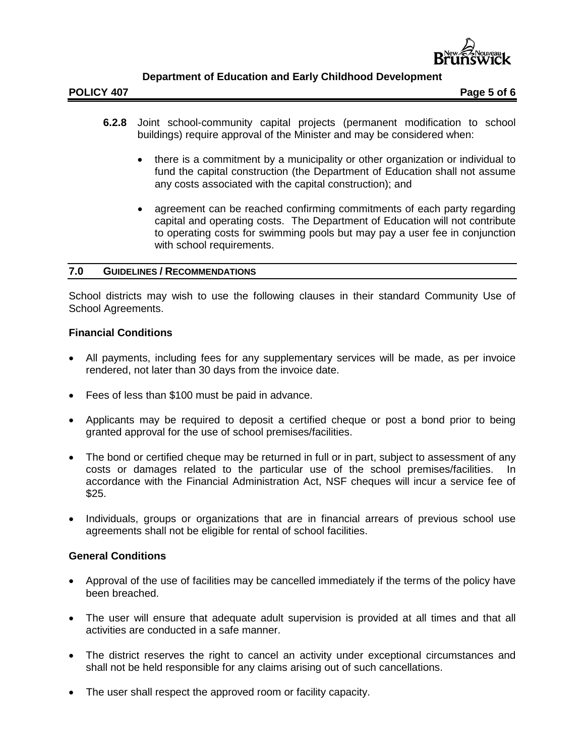

- **6.2.8** Joint school-community capital projects (permanent modification to school buildings) require approval of the Minister and may be considered when:
	- there is a commitment by a municipality or other organization or individual to fund the capital construction (the Department of Education shall not assume any costs associated with the capital construction); and
	- agreement can be reached confirming commitments of each party regarding capital and operating costs. The Department of Education will not contribute to operating costs for swimming pools but may pay a user fee in conjunction with school requirements.

### **7.0 GUIDELINES / RECOMMENDATIONS**

School districts may wish to use the following clauses in their standard Community Use of School Agreements.

## **Financial Conditions**

- All payments, including fees for any supplementary services will be made, as per invoice rendered, not later than 30 days from the invoice date.
- Fees of less than \$100 must be paid in advance.
- Applicants may be required to deposit a certified cheque or post a bond prior to being granted approval for the use of school premises/facilities.
- The bond or certified cheque may be returned in full or in part, subject to assessment of any costs or damages related to the particular use of the school premises/facilities. In accordance with the Financial Administration Act, NSF cheques will incur a service fee of \$25.
- Individuals, groups or organizations that are in financial arrears of previous school use agreements shall not be eligible for rental of school facilities.

## **General Conditions**

- Approval of the use of facilities may be cancelled immediately if the terms of the policy have been breached.
- The user will ensure that adequate adult supervision is provided at all times and that all activities are conducted in a safe manner.
- The district reserves the right to cancel an activity under exceptional circumstances and shall not be held responsible for any claims arising out of such cancellations.
- The user shall respect the approved room or facility capacity.